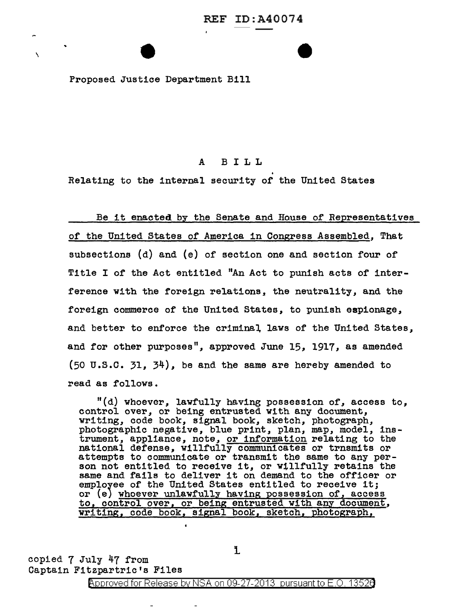Proposed Justice Department Bill

\

## A BILL

Relating to the internal security of the United States

#### Be it enacted by the Senate and House of Representatives

of the United States of America in Congress Assembled, That subsections (d) and (e) of section one and section four of Title I of the Act entitled "An Act to punish acts of interference with the foreign relations, the neutrality, and the foreign commerce of the United States, to punish espionage, and better to enforce the criminal laws of the United States, and for other purposes", approved June 15, 1917, as amended  $(50 \text{ U.S.C. } 31, 34)$ , be and the same are hereby amended to read as follows.

"(d) whoever, lawfully having possession of, access to, control over, or being entrusted with any document, writing, code book, signal book, sketch, photograph, photographic negative, blue print, plan, map, model, instrument, appliance, note, or information relating to the national defense, willfully communicates or trnsmits or attempts to communicate or transmit the same to any person not entitled to receive it, or willfully retains the same and fails to deliver it on demand to the officer or emplo7ee of the United States entitled to receive it; or *(e)* whoever unlawfully having possession of, access to, control over, or being entrusted with any document, writing, code book, signal book, sketch, photograph,

copied 7 July 47 from Captain Fitzpartric's Files

Approved for Release by NSA on 09-27-2013 pursuant to E.O. 1352a

i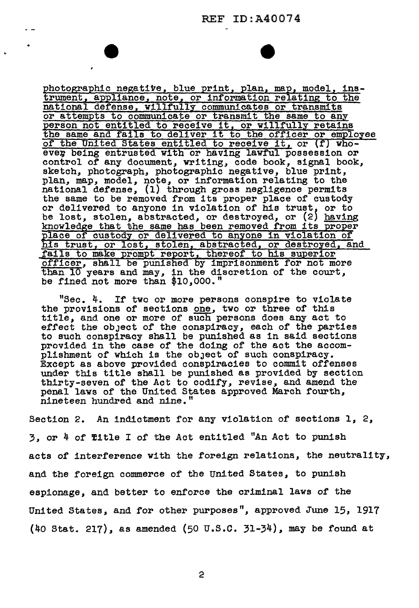### REF ID:A40074

photographic negative, blue print, plan, map, model, instrument, appliance, note, or information relating to the national defense, willfully communicates or transmits or attempts to communicate or transmit the same to any or attempts to communicate or transmit the same to any person not entitled to receive it, or willfully retains the same and fails to deliver it to the officer or employee of the United States entitled to receive it, or *(f)* who ever being entrusted with or having lawful possession or control of any document, writing, code book, signal book, sketch, photograph, photographic negative, blue print, plan, map, model, note, or information relating to the national defense, (1) through gross negligence permits national defense, (1) through gross negligence permits the same to be removed from its proper place of custody or delivered to anyone in violation of his trust, or to be lost, stolen, abstracted, or destroyed, or (2) having knowledge that the same has been removed from its proper place of custody or delivered to anyone in violation of his trust, or lost, stolen, abstracted, or destroyed, and fails to make prompt report, thereof to his superior officer, shall be punished by imprisonment for not more than 10 years and may, in the discretion of the court, be fined not more than \$10,000."

 $\overline{1}$ 

"Sec. 4. If two or more persons conspire to violate the provisions of sections one, two or three of this title, and one or more of such persons does any act to effect the object of the conspiracy, each of the parties to such conspiracy shall be punished as in said sections provided in the case of the doing of the act the accom-<br>plishment of which is the object of such conspiracy. Except as above provided conspiracies to commit offenses under this title shall be punished as provided by section thirty-seven of the Act to codify, revise, and amend the penal laws of the United States approved March fourth, nineteen hundred and nine."

Section 2. An indictment for any violation of sections  $1, 2,$ 3J or 4 of 'fitle I of the Act entitled "An Act to punish acts of interference with the foreign relations, the neutrality, and the foreign commerce of the United States, to punish espionage, and better to enforce the criminal laws of the United States, and for other purposes", approved June 15, 1917 (40 Stat. 217), as amended (50 u.s.c. 31-34), may be found at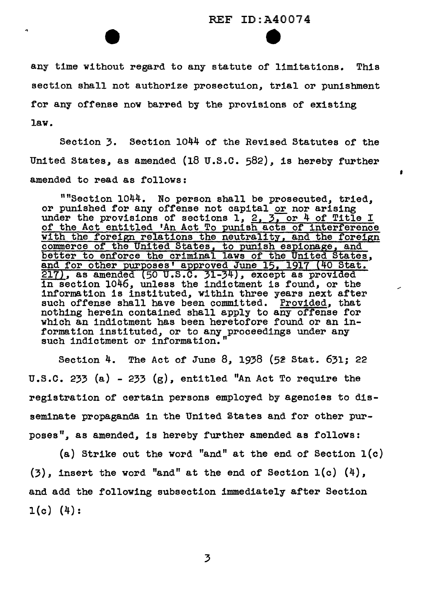## REF ID:A40074 e

•

any time without regard to any statute of limitations. This section shall not authorize prosectuion, trial or punishment for any offense now barred by the provisions of existing law.

Section 3. Section 1044 of the Revised Statutes of the United States, as amended (18 U.S.C.  $582$ ), is hereby further amended to read as follows:

""Section  $1044$ . No person shall be prosecuted, tried, or punished for any offense not capital or nor arising or punished for any offense not capital or nor arising under the provisions of sections  $1, 2, 3,$  or 4 of Title I of the Act entitled 'An Act To punish acts of interference with the foreign relations the neutrality, and the foreign commerce of the United States, to punish espionage, and better to enforce the criminal laws of the United States, and for other purposes' approved June 15, 1917 (40 Stat.  $\frac{217}{217}$ , as amended (50 U.S.C. 31-34), except as provided in section 1046, unless the indictment is found, or the information is instituted, within three years next after<br>such offense shall have been committed. Provided, that such offense shall have been committed. nothing herein contained shall apply to any offense for which an indictment has been heretofore found or an information instituted, or to any proceedings under any such indictment or information."

Section 4. The Act of June 8, 1938 (52 Stat. 631; 22 U.S.C. 233 (a) - 233 (g), entitled "An Act To require the registration of certain persons employed by agencies to disseminate propaganda in the United States and for other purposes", as amended, is hereby further amended as follows:

(a) Strike out the word "and" at the end of Section  $l(c)$  $(3)$ , insert the word "and" at the end of Section  $1(c)$   $(4)$ . and add the following subsection immediately after Section  $1(c)$   $(4)$ :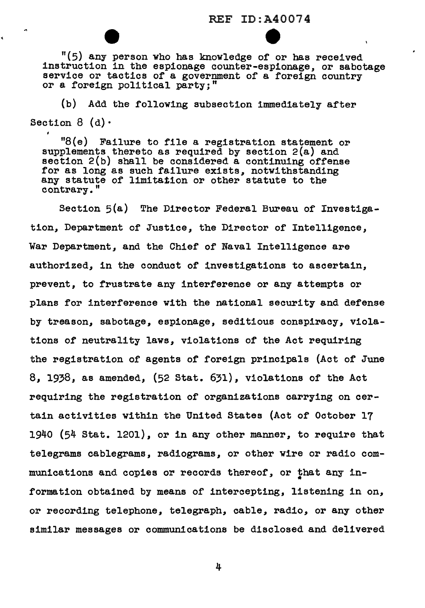### REF ID:A40074

 $\bullet$ 

"(5) any person who has knowledge of or has received instruction in the espionage counter-espionage, or sabotage service or tactics of a government of a foreign country or a foreign political party;"

(b) Add the following subsection immediately after Section  $8$  (d) $\cdot$ 

k

"8(e) Failure to f'ile a registration statement or supplements thereto as required by section 2(a) and section 2(b} shall be considered a continuing offense for as long as such failure exists, notwithstanding any statute of limitation or other statute to the contrary."

Section 5(a) The Director Federal Bureau of Investigation, Department of Justice, the Director of Intelligence, War Department, and the Chief of Naval Intelligence are authorized, in the conduct of investigations to ascertain, prevent, to frustrate any interference or any attempts or plans for interference with the national security and defense by treason, sabotage, espionage, seditious conspiracy, violations of neutrality laws, violations of the Act requiring the registration or agents of foreign principals (Act of June 8, 1938, as amended, (52 Stat. 631), violations of the Act requiring the registration of organizations carrying on certain activities within the United States (Act of October 17  $1940$  (54 Stat. 1201), or in any other manner, to require that telegrams cablegrams, radiograms, or other wire or radio communications and copies or records thereof, or that any information obtained by means or intercepting, listening in on, or recording telephone, telegraph, cable, radio, or any other similar messages or communications be disclosed and delivered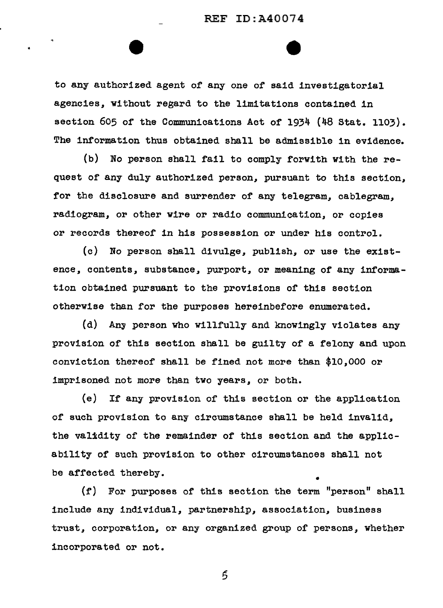to any authorized agent of any one of said investigatorial agencies, without regard to the limitations contained in section 605 of the Communications Act or 1934 (48 Stat. 1103). The information thus obtained shall be admissible in evidence.

(b) No person shall fail to comply forwith with the request or any duly authorized person, pursuant to this section, for the disclosure and surrender of any telegram, cablegram. radiogram, or other wire or radio communication, or copies or records thereof in his possession or under his control.

(c) No person shall divulge, publish, or use the existence, contents, substance, purport, or meaning of any information obtained pursuant to the provisions or this section otherwise than for the purposes hereinbefore enumerated.

(d) Any person who willfully and knowingly violates any provision or this section shall be guilty of a felony and upon conviction thereof shall be fined not more than \$10,000 or imprisoned not more than two years, or both.

{e) If any provision of this section or the application of such provision to any circumstance shall be held invalid, the validity of the remainder of this section and the applicability of such provision to other circumstances shall not be affected thereby.

 $(f)$  For purposes of this section the term "person" shall include any individual, partnership, association, business trust, corporation, or any organized group of persons, whether incorporated or not.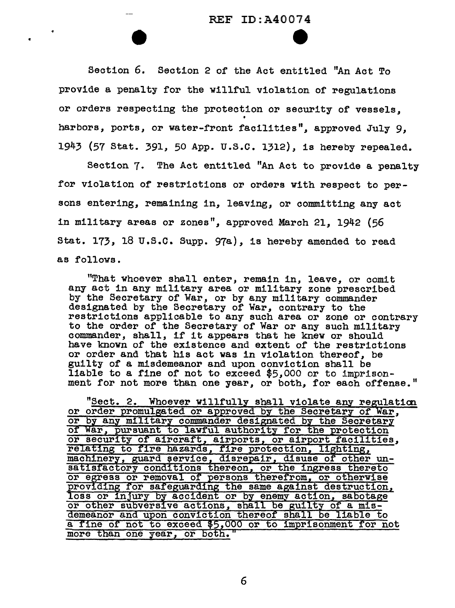# REF ID:A40074  $\bullet$

Section 6. Section 2 of the Act entitled "An Act To provide a penalty for the willful violation of regulations or orders respecting the protection or security of vessels, • harbors,, ports, or water-front facilities", approved July 9, 1943 (57 Stat. 391, 50 App. u.s.c. 1312), is hereby repealed.

Section 7. The Act entitled "An Act to provide a penalty for violation of restrictions or orders with respect to persons entering, remaining in, leaving, or committing any act in military areas or zones", approved March 21, 1942 (56 Stat. 173, 18 u.s.c. Supp. 97a), is hereby amended to read as follows.

"That whoever shall enter, remain in, leave, or comit any act in any military area or military zone prescribed by the Secretary of War, or by any military commander designated by the Secretary of War, contrary to the restrictions applicable to any such area or zone or contrary to the order of the Secretary of War or any such military commander, shall, if it appears that he knew or should have known of the existence and extent of the restrictions or order and that his act was in violation thereof, be guilty or a misdemeanor and upon conviction shall be liable to a fine of not to exceed \$5,000 or to imprisonment for not more than one year, or both, for each offense."

"Sect. 2. Whoever willfully shall violate any regulation or order promulgated or approved by the Secretary of War, or by any military commander designated by the Secretary or War, pursuant to lawful authority for the protection or security of aircraft, airports, or airport facilities, relating to fire hazards, fire protection, lighting, machinery, guard service, disrepair, disuse of other unsatisfactory conditions thereon, or the ingress thereto or efress or removal of persons therefrom, or otherwise providing for safeguarding the same against destruction, loss or injury by accident or by enemy action, sabotage or other subversive actions, shall be guilty of a misdemeanor and upon conviction thereof shall be liable to a fine of not to exceed \$5,000 or to imprisonment for not more than one year, or both."